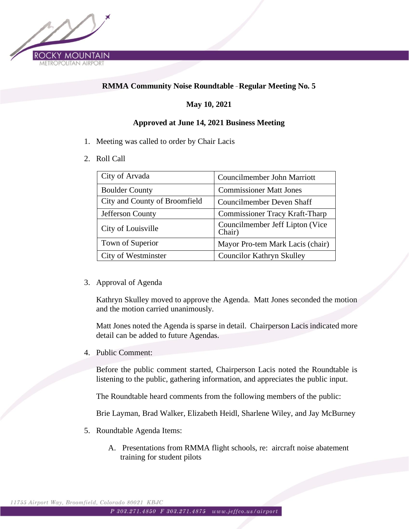

## **RMMA Community Noise Roundtable** – **Regular Meeting No. 5**

## **May 10, 2021**

## **Approved at June 14, 2021 Business Meeting**

- 1. Meeting was called to order by Chair Lacis
- 2. Roll Call

| City of Arvada                | Councilmember John Marriott               |
|-------------------------------|-------------------------------------------|
| <b>Boulder County</b>         | <b>Commissioner Matt Jones</b>            |
| City and County of Broomfield | <b>Councilmember Deven Shaff</b>          |
| Jefferson County              | <b>Commissioner Tracy Kraft-Tharp</b>     |
| City of Louisville            | Councilmember Jeff Lipton (Vice<br>Chair) |
| Town of Superior              | Mayor Pro-tem Mark Lacis (chair)          |
| City of Westminster           | <b>Councilor Kathryn Skulley</b>          |

3. Approval of Agenda

Kathryn Skulley moved to approve the Agenda. Matt Jones seconded the motion and the motion carried unanimously.

Matt Jones noted the Agenda is sparse in detail. Chairperson Lacis indicated more detail can be added to future Agendas.

4. Public Comment:

Before the public comment started, Chairperson Lacis noted the Roundtable is listening to the public, gathering information, and appreciates the public input.

The Roundtable heard comments from the following members of the public:

Brie Layman, Brad Walker, Elizabeth Heidl, Sharlene Wiley, and Jay McBurney

- 5. Roundtable Agenda Items:
	- A. Presentations from RMMA flight schools, re: aircraft noise abatement training for student pilots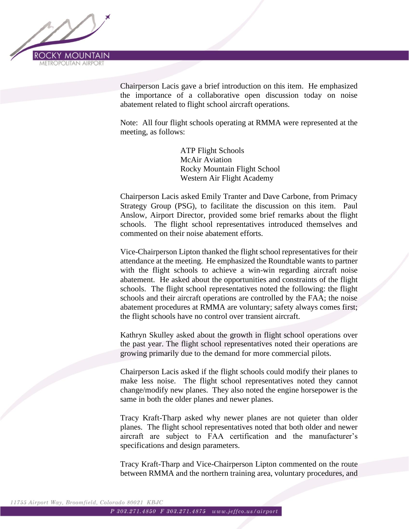

Chairperson Lacis gave a brief introduction on this item. He emphasized the importance of a collaborative open discussion today on noise abatement related to flight school aircraft operations.

Note: All four flight schools operating at RMMA were represented at the meeting, as follows:

> ATP Flight Schools McAir Aviation Rocky Mountain Flight School Western Air Flight Academy

Chairperson Lacis asked Emily Tranter and Dave Carbone, from Primacy Strategy Group (PSG), to facilitate the discussion on this item. Paul Anslow, Airport Director, provided some brief remarks about the flight schools. The flight school representatives introduced themselves and commented on their noise abatement efforts.

Vice-Chairperson Lipton thanked the flight school representatives for their attendance at the meeting. He emphasized the Roundtable wants to partner with the flight schools to achieve a win-win regarding aircraft noise abatement. He asked about the opportunities and constraints of the flight schools. The flight school representatives noted the following: the flight schools and their aircraft operations are controlled by the FAA; the noise abatement procedures at RMMA are voluntary; safety always comes first; the flight schools have no control over transient aircraft.

Kathryn Skulley asked about the growth in flight school operations over the past year. The flight school representatives noted their operations are growing primarily due to the demand for more commercial pilots.

Chairperson Lacis asked if the flight schools could modify their planes to make less noise. The flight school representatives noted they cannot change/modify new planes. They also noted the engine horsepower is the same in both the older planes and newer planes.

Tracy Kraft-Tharp asked why newer planes are not quieter than older planes. The flight school representatives noted that both older and newer aircraft are subject to FAA certification and the manufacturer's specifications and design parameters.

Tracy Kraft-Tharp and Vice-Chairperson Lipton commented on the route between RMMA and the northern training area, voluntary procedures, and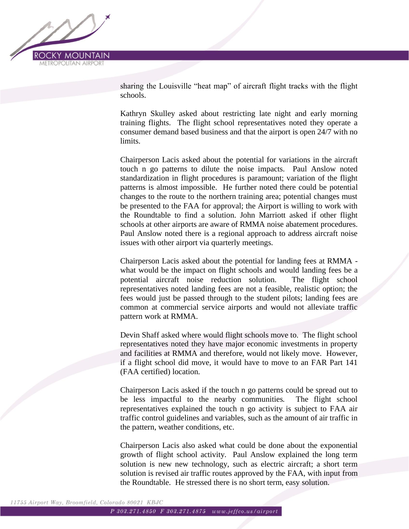

sharing the Louisville "heat map" of aircraft flight tracks with the flight schools.

Kathryn Skulley asked about restricting late night and early morning training flights. The flight school representatives noted they operate a consumer demand based business and that the airport is open 24/7 with no limits.

Chairperson Lacis asked about the potential for variations in the aircraft touch n go patterns to dilute the noise impacts. Paul Anslow noted standardization in flight procedures is paramount; variation of the flight patterns is almost impossible. He further noted there could be potential changes to the route to the northern training area; potential changes must be presented to the FAA for approval; the Airport is willing to work with the Roundtable to find a solution. John Marriott asked if other flight schools at other airports are aware of RMMA noise abatement procedures. Paul Anslow noted there is a regional approach to address aircraft noise issues with other airport via quarterly meetings.

Chairperson Lacis asked about the potential for landing fees at RMMA what would be the impact on flight schools and would landing fees be a potential aircraft noise reduction solution. The flight school representatives noted landing fees are not a feasible, realistic option; the fees would just be passed through to the student pilots; landing fees are common at commercial service airports and would not alleviate traffic pattern work at RMMA.

Devin Shaff asked where would flight schools move to. The flight school representatives noted they have major economic investments in property and facilities at RMMA and therefore, would not likely move. However, if a flight school did move, it would have to move to an FAR Part 141 (FAA certified) location.

Chairperson Lacis asked if the touch n go patterns could be spread out to be less impactful to the nearby communities. The flight school representatives explained the touch n go activity is subject to FAA air traffic control guidelines and variables, such as the amount of air traffic in the pattern, weather conditions, etc.

Chairperson Lacis also asked what could be done about the exponential growth of flight school activity. Paul Anslow explained the long term solution is new new technology, such as electric aircraft; a short term solution is revised air traffic routes approved by the FAA, with input from the Roundtable. He stressed there is no short term, easy solution.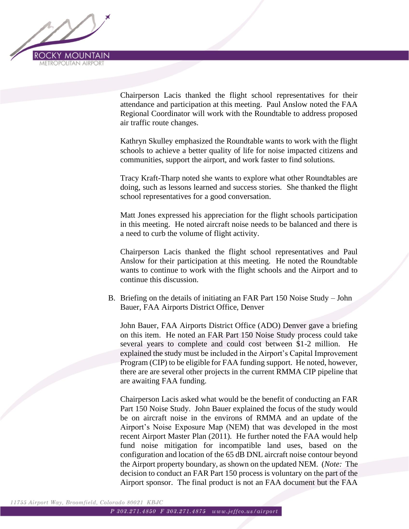

Chairperson Lacis thanked the flight school representatives for their attendance and participation at this meeting. Paul Anslow noted the FAA Regional Coordinator will work with the Roundtable to address proposed air traffic route changes.

Kathryn Skulley emphasized the Roundtable wants to work with the flight schools to achieve a better quality of life for noise impacted citizens and communities, support the airport, and work faster to find solutions.

Tracy Kraft-Tharp noted she wants to explore what other Roundtables are doing, such as lessons learned and success stories. She thanked the flight school representatives for a good conversation.

Matt Jones expressed his appreciation for the flight schools participation in this meeting. He noted aircraft noise needs to be balanced and there is a need to curb the volume of flight activity.

Chairperson Lacis thanked the flight school representatives and Paul Anslow for their participation at this meeting. He noted the Roundtable wants to continue to work with the flight schools and the Airport and to continue this discussion.

B. Briefing on the details of initiating an FAR Part 150 Noise Study – John Bauer, FAA Airports District Office, Denver

John Bauer, FAA Airports District Office (ADO) Denver gave a briefing on this item. He noted an FAR Part 150 Noise Study process could take several years to complete and could cost between \$1-2 million. He explained the study must be included in the Airport's Capital Improvement Program (CIP) to be eligible for FAA funding support. He noted, however, there are are several other projects in the current RMMA CIP pipeline that are awaiting FAA funding.

Chairperson Lacis asked what would be the benefit of conducting an FAR Part 150 Noise Study. John Bauer explained the focus of the study would be on aircraft noise in the environs of RMMA and an update of the Airport's Noise Exposure Map (NEM) that was developed in the most recent Airport Master Plan (2011). He further noted the FAA would help fund noise mitigation for incompatible land uses, based on the configuration and location of the 65 dB DNL aircraft noise contour beyond the Airport property boundary, as shown on the updated NEM. (*Note:* The decision to conduct an FAR Part 150 process is voluntary on the part of the Airport sponsor. The final product is not an FAA document but the FAA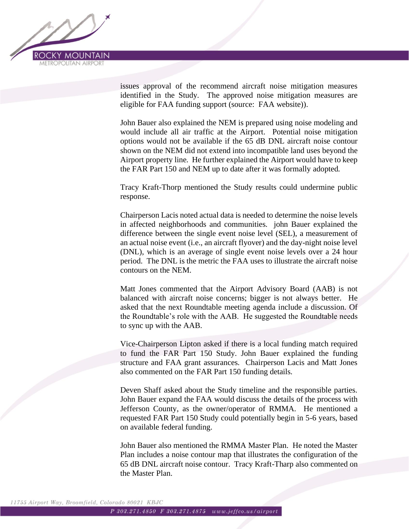

issues approval of the recommend aircraft noise mitigation measures identified in the Study. The approved noise mitigation measures are eligible for FAA funding support (source: FAA website)).

John Bauer also explained the NEM is prepared using noise modeling and would include all air traffic at the Airport. Potential noise mitigation options would not be available if the 65 dB DNL aircraft noise contour shown on the NEM did not extend into incompatible land uses beyond the Airport property line. He further explained the Airport would have to keep the FAR Part 150 and NEM up to date after it was formally adopted.

Tracy Kraft-Thorp mentioned the Study results could undermine public response.

Chairperson Lacis noted actual data is needed to determine the noise levels in affected neighborhoods and communities. john Bauer explained the difference between the single event noise level (SEL), a measurement of an actual noise event (i.e., an aircraft flyover) and the day-night noise level (DNL), which is an average of single event noise levels over a 24 hour period. The DNL is the metric the FAA uses to illustrate the aircraft noise contours on the NEM.

Matt Jones commented that the Airport Advisory Board (AAB) is not balanced with aircraft noise concerns; bigger is not always better. He asked that the next Roundtable meeting agenda include a discussion. Of the Roundtable's role with the AAB. He suggested the Roundtable needs to sync up with the AAB.

Vice-Chairperson Lipton asked if there is a local funding match required to fund the FAR Part 150 Study. John Bauer explained the funding structure and FAA grant assurances. Chairperson Lacis and Matt Jones also commented on the FAR Part 150 funding details.

Deven Shaff asked about the Study timeline and the responsible parties. John Bauer expand the FAA would discuss the details of the process with Jefferson County, as the owner/operator of RMMA. He mentioned a requested FAR Part 150 Study could potentially begin in 5-6 years, based on available federal funding.

John Bauer also mentioned the RMMA Master Plan. He noted the Master Plan includes a noise contour map that illustrates the configuration of the 65 dB DNL aircraft noise contour. Tracy Kraft-Tharp also commented on the Master Plan.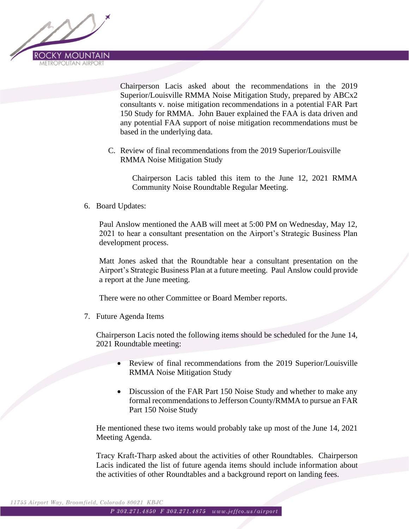

Chairperson Lacis asked about the recommendations in the 2019 Superior/Louisville RMMA Noise Mitigation Study, prepared by ABCx2 consultants v. noise mitigation recommendations in a potential FAR Part 150 Study for RMMA. John Bauer explained the FAA is data driven and any potential FAA support of noise mitigation recommendations must be based in the underlying data.

C. Review of final recommendations from the 2019 Superior/Louisville RMMA Noise Mitigation Study

Chairperson Lacis tabled this item to the June 12, 2021 RMMA Community Noise Roundtable Regular Meeting.

6. Board Updates:

Paul Anslow mentioned the AAB will meet at 5:00 PM on Wednesday, May 12, 2021 to hear a consultant presentation on the Airport's Strategic Business Plan development process.

Matt Jones asked that the Roundtable hear a consultant presentation on the Airport's Strategic Business Plan at a future meeting. Paul Anslow could provide a report at the June meeting.

There were no other Committee or Board Member reports.

7. Future Agenda Items

Chairperson Lacis noted the following items should be scheduled for the June 14, 2021 Roundtable meeting:

- Review of final recommendations from the 2019 Superior/Louisville RMMA Noise Mitigation Study
- Discussion of the FAR Part 150 Noise Study and whether to make any formal recommendations to Jefferson County/RMMA to pursue an FAR Part 150 Noise Study

He mentioned these two items would probably take up most of the June 14, 2021 Meeting Agenda.

Tracy Kraft-Tharp asked about the activities of other Roundtables. Chairperson Lacis indicated the list of future agenda items should include information about the activities of other Roundtables and a background report on landing fees.